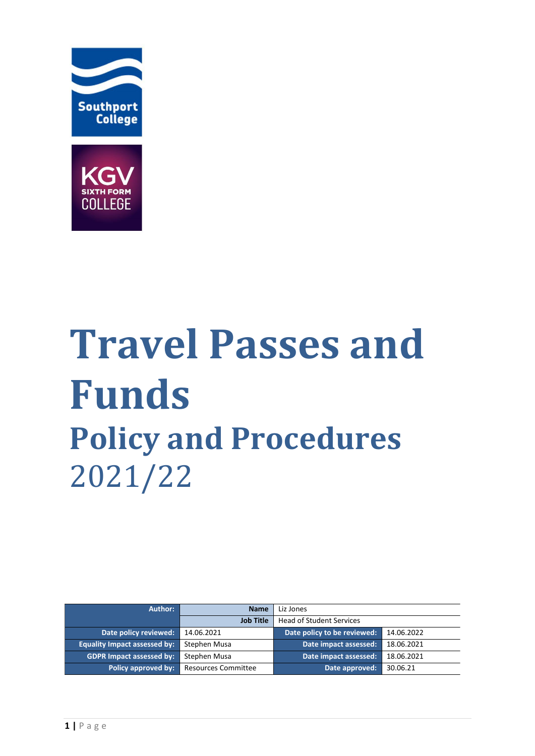



# **Travel Passes and Funds Policy and Procedures**  2021/22

| Author:                             | <b>Name</b>                | Liz Jones                       |            |
|-------------------------------------|----------------------------|---------------------------------|------------|
|                                     | <b>Job Title</b>           | <b>Head of Student Services</b> |            |
| Date policy reviewed:               | 14.06.2021                 | Date policy to be reviewed:     | 14.06.2022 |
| <b>Equality Impact assessed by:</b> | Stephen Musa               | Date impact assessed:           | 18.06.2021 |
| <b>GDPR Impact assessed by:</b>     | Stephen Musa               | Date impact assessed:           | 18.06.2021 |
| Policy approved by:                 | <b>Resources Committee</b> | Date approved:                  | 30.06.21   |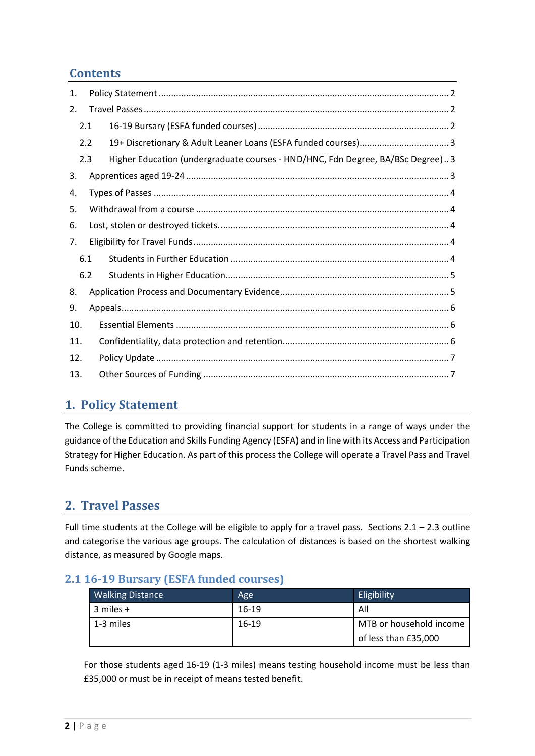# **Contents**

| 1.  |     |                                                                                |  |
|-----|-----|--------------------------------------------------------------------------------|--|
| 2.  |     |                                                                                |  |
|     | 2.1 |                                                                                |  |
|     | 2.2 |                                                                                |  |
|     | 2.3 | Higher Education (undergraduate courses - HND/HNC, Fdn Degree, BA/BSc Degree)3 |  |
| 3.  |     |                                                                                |  |
| 4.  |     |                                                                                |  |
| 5.  |     |                                                                                |  |
| 6.  |     |                                                                                |  |
| 7.  |     |                                                                                |  |
|     | 6.1 |                                                                                |  |
|     | 6.2 |                                                                                |  |
| 8.  |     |                                                                                |  |
| 9.  |     |                                                                                |  |
| 10. |     |                                                                                |  |
| 11. |     |                                                                                |  |
| 12. |     |                                                                                |  |
| 13. |     |                                                                                |  |

# <span id="page-1-0"></span>**1. Policy Statement**

The College is committed to providing financial support for students in a range of ways under the guidance of the Education and Skills Funding Agency (ESFA) and in line with its Access and Participation Strategy for Higher Education. As part of this process the College will operate a Travel Pass and Travel Funds scheme.

# <span id="page-1-1"></span>**2. Travel Passes**

Full time students at the College will be eligible to apply for a travel pass. Sections  $2.1 - 2.3$  outline and categorise the various age groups. The calculation of distances is based on the shortest walking distance, as measured by Google maps.

#### <span id="page-1-2"></span>**2.1 16-19 Bursary (ESFA funded courses)**

| <b>Walking Distance</b> | Age       | Eligibility             |  |  |
|-------------------------|-----------|-------------------------|--|--|
| l 3 miles +             | $16 - 19$ | All                     |  |  |
| 1-3 miles               | $16 - 19$ | MTB or household income |  |  |
|                         |           | of less than £35,000    |  |  |

For those students aged 16-19 (1-3 miles) means testing household income must be less than £35,000 or must be in receipt of means tested benefit.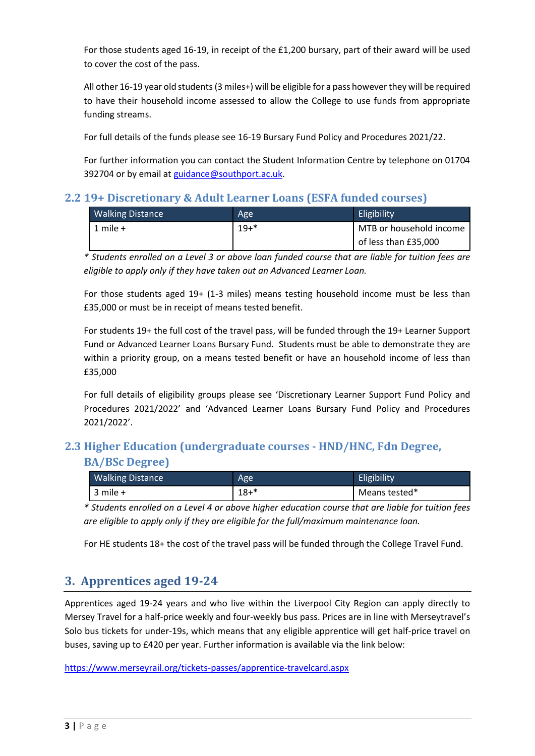For those students aged 16-19, in receipt of the £1,200 bursary, part of their award will be used to cover the cost of the pass.

All other 16-19 year old students (3 miles+) will be eligible for a pass however they will be required to have their household income assessed to allow the College to use funds from appropriate funding streams.

For full details of the funds please see 16-19 Bursary Fund Policy and Procedures 2021/22.

For further information you can contact the Student Information Centre by telephone on 01704 392704 or by email at [guidance@southport.ac.uk.](mailto:guidance@southport.ac.uk)

#### <span id="page-2-0"></span>**2.2 19+ Discretionary & Adult Learner Loans (ESFA funded courses)**

| <b>Walking Distance</b> | Age     | Eligibility             |
|-------------------------|---------|-------------------------|
| 1 mile $+$              | $19+$ * | MTB or household income |
|                         |         | of less than £35,000    |

*\* Students enrolled on a Level 3 or above loan funded course that are liable for tuition fees are eligible to apply only if they have taken out an Advanced Learner Loan.*

For those students aged 19+ (1-3 miles) means testing household income must be less than £35,000 or must be in receipt of means tested benefit.

For students 19+ the full cost of the travel pass, will be funded through the 19+ Learner Support Fund or Advanced Learner Loans Bursary Fund. Students must be able to demonstrate they are within a priority group, on a means tested benefit or have an household income of less than £35,000

For full details of eligibility groups please see 'Discretionary Learner Support Fund Policy and Procedures 2021/2022' and 'Advanced Learner Loans Bursary Fund Policy and Procedures 2021/2022'.

# <span id="page-2-1"></span>**2.3 Higher Education (undergraduate courses - HND/HNC, Fdn Degree,**

#### **BA/BSc Degree)**

| <b>Walking Distance</b> | Age      | Eligibility   |
|-------------------------|----------|---------------|
| $3$ mile $+$            | $18 + *$ | Means tested* |

*\* Students enrolled on a Level 4 or above higher education course that are liable for tuition fees are eligible to apply only if they are eligible for the full/maximum maintenance loan.*

For HE students 18+ the cost of the travel pass will be funded through the College Travel Fund.

#### <span id="page-2-2"></span>**3. Apprentices aged 19-24**

Apprentices aged 19-24 years and who live within the Liverpool City Region can apply directly to Mersey Travel for a half-price weekly and four-weekly bus pass. Prices are in line with Merseytravel's Solo bus tickets for under-19s, which means that any eligible apprentice will get half-price travel on buses, saving up to £420 per year. Further information is available via the link below:

<https://www.merseyrail.org/tickets-passes/apprentice-travelcard.aspx>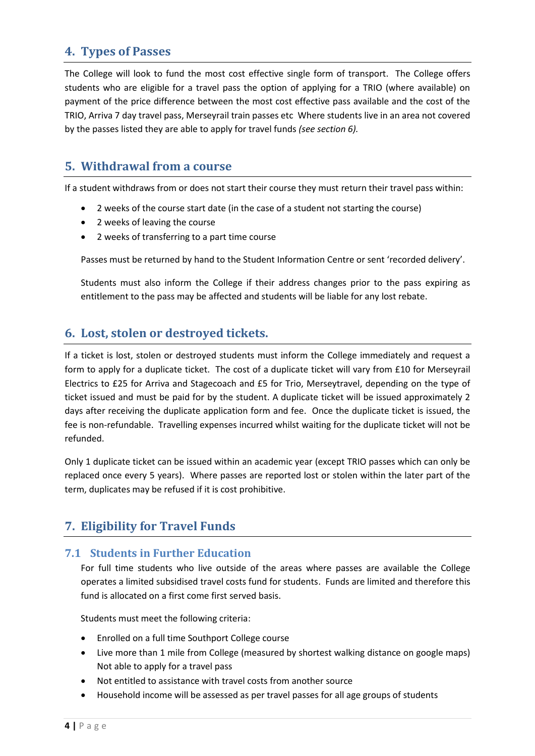# <span id="page-3-0"></span>**4. Types of Passes**

The College will look to fund the most cost effective single form of transport. The College offers students who are eligible for a travel pass the option of applying for a TRIO (where available) on payment of the price difference between the most cost effective pass available and the cost of the TRIO, Arriva 7 day travel pass, Merseyrail train passes etc Where students live in an area not covered by the passes listed they are able to apply for travel funds *(see section 6).*

# <span id="page-3-1"></span>**5. Withdrawal from a course**

If a student withdraws from or does not start their course they must return their travel pass within:

- 2 weeks of the course start date (in the case of a student not starting the course)
- 2 weeks of leaving the course
- 2 weeks of transferring to a part time course

Passes must be returned by hand to the Student Information Centre or sent 'recorded delivery'.

Students must also inform the College if their address changes prior to the pass expiring as entitlement to the pass may be affected and students will be liable for any lost rebate.

#### <span id="page-3-2"></span>**6. Lost, stolen or destroyed tickets.**

If a ticket is lost, stolen or destroyed students must inform the College immediately and request a form to apply for a duplicate ticket. The cost of a duplicate ticket will vary from £10 for Merseyrail Electrics to £25 for Arriva and Stagecoach and £5 for Trio, Merseytravel, depending on the type of ticket issued and must be paid for by the student. A duplicate ticket will be issued approximately 2 days after receiving the duplicate application form and fee. Once the duplicate ticket is issued, the fee is non-refundable. Travelling expenses incurred whilst waiting for the duplicate ticket will not be refunded.

Only 1 duplicate ticket can be issued within an academic year (except TRIO passes which can only be replaced once every 5 years). Where passes are reported lost or stolen within the later part of the term, duplicates may be refused if it is cost prohibitive.

# <span id="page-3-3"></span>**7. Eligibility for Travel Funds**

#### <span id="page-3-4"></span>**7.1 Students in Further Education**

For full time students who live outside of the areas where passes are available the College operates a limited subsidised travel costs fund for students. Funds are limited and therefore this fund is allocated on a first come first served basis.

Students must meet the following criteria:

- Enrolled on a full time Southport College course
- Live more than 1 mile from College (measured by shortest walking distance on google maps) Not able to apply for a travel pass
- Not entitled to assistance with travel costs from another source
- Household income will be assessed as per travel passes for all age groups of students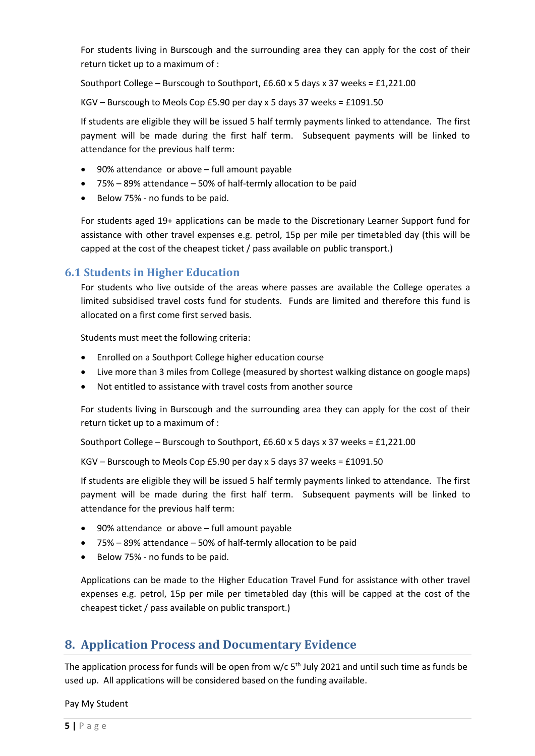For students living in Burscough and the surrounding area they can apply for the cost of their return ticket up to a maximum of :

Southport College – Burscough to Southport, £6.60 x 5 days x 37 weeks = £1,221.00

KGV – Burscough to Meols Cop £5.90 per day x 5 days 37 weeks = £1091.50

If students are eligible they will be issued 5 half termly payments linked to attendance. The first payment will be made during the first half term. Subsequent payments will be linked to attendance for the previous half term:

- 90% attendance or above full amount payable
- 75% 89% attendance 50% of half-termly allocation to be paid
- Below 75% no funds to be paid.

For students aged 19+ applications can be made to the Discretionary Learner Support fund for assistance with other travel expenses e.g. petrol, 15p per mile per timetabled day (this will be capped at the cost of the cheapest ticket / pass available on public transport.)

#### <span id="page-4-0"></span>**6.1 Students in Higher Education**

For students who live outside of the areas where passes are available the College operates a limited subsidised travel costs fund for students. Funds are limited and therefore this fund is allocated on a first come first served basis.

Students must meet the following criteria:

- Enrolled on a Southport College higher education course
- Live more than 3 miles from College (measured by shortest walking distance on google maps)
- Not entitled to assistance with travel costs from another source

For students living in Burscough and the surrounding area they can apply for the cost of their return ticket up to a maximum of :

Southport College – Burscough to Southport, £6.60 x 5 days x 37 weeks = £1,221.00

KGV – Burscough to Meols Cop £5.90 per day x 5 days 37 weeks = £1091.50

If students are eligible they will be issued 5 half termly payments linked to attendance. The first payment will be made during the first half term. Subsequent payments will be linked to attendance for the previous half term:

- 90% attendance or above full amount payable
- 75% 89% attendance 50% of half-termly allocation to be paid
- Below 75% no funds to be paid.

<span id="page-4-1"></span>Applications can be made to the Higher Education Travel Fund for assistance with other travel expenses e.g. petrol, 15p per mile per timetabled day (this will be capped at the cost of the cheapest ticket / pass available on public transport.)

#### **8. Application Process and Documentary Evidence**

The application process for funds will be open from  $w/c$  5<sup>th</sup> July 2021 and until such time as funds be used up. All applications will be considered based on the funding available.

Pay My Student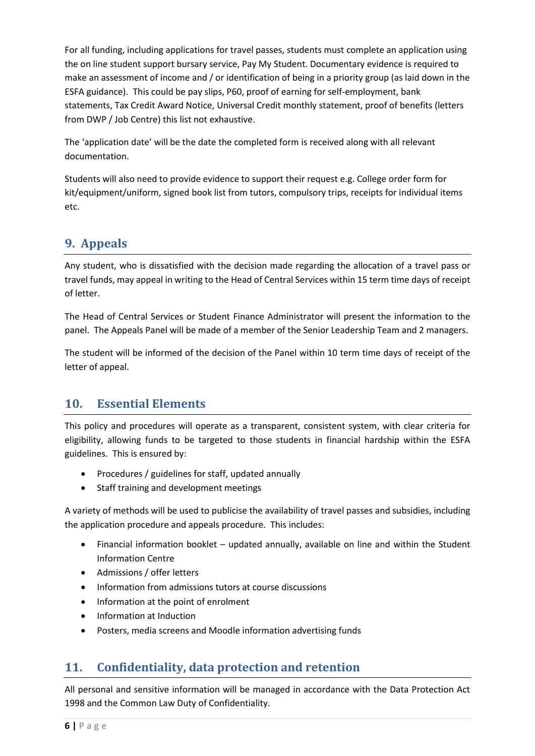For all funding, including applications for travel passes, students must complete an application using the on line student support bursary service, Pay My Student. Documentary evidence is required to make an assessment of income and / or identification of being in a priority group (as laid down in the ESFA guidance). This could be pay slips, P60, proof of earning for self-employment, bank statements, Tax Credit Award Notice, Universal Credit monthly statement, proof of benefits (letters from DWP / Job Centre) this list not exhaustive.

The 'application date' will be the date the completed form is received along with all relevant documentation.

Students will also need to provide evidence to support their request e.g. College order form for kit/equipment/uniform, signed book list from tutors, compulsory trips, receipts for individual items etc.

# <span id="page-5-0"></span>**9. Appeals**

Any student, who is dissatisfied with the decision made regarding the allocation of a travel pass or travel funds, may appeal in writing to the Head of Central Services within 15 term time days of receipt of letter.

The Head of Central Services or Student Finance Administrator will present the information to the panel. The Appeals Panel will be made of a member of the Senior Leadership Team and 2 managers.

The student will be informed of the decision of the Panel within 10 term time days of receipt of the letter of appeal.

#### <span id="page-5-1"></span>**10. Essential Elements**

This policy and procedures will operate as a transparent, consistent system, with clear criteria for eligibility, allowing funds to be targeted to those students in financial hardship within the ESFA guidelines. This is ensured by:

- Procedures / guidelines for staff, updated annually
- Staff training and development meetings

A variety of methods will be used to publicise the availability of travel passes and subsidies, including the application procedure and appeals procedure. This includes:

- Financial information booklet updated annually, available on line and within the Student Information Centre
- Admissions / offer letters
- Information from admissions tutors at course discussions
- Information at the point of enrolment
- Information at Induction
- Posters, media screens and Moodle information advertising funds

# <span id="page-5-2"></span>**11. Confidentiality, data protection and retention**

All personal and sensitive information will be managed in accordance with the Data Protection Act 1998 and the Common Law Duty of Confidentiality.